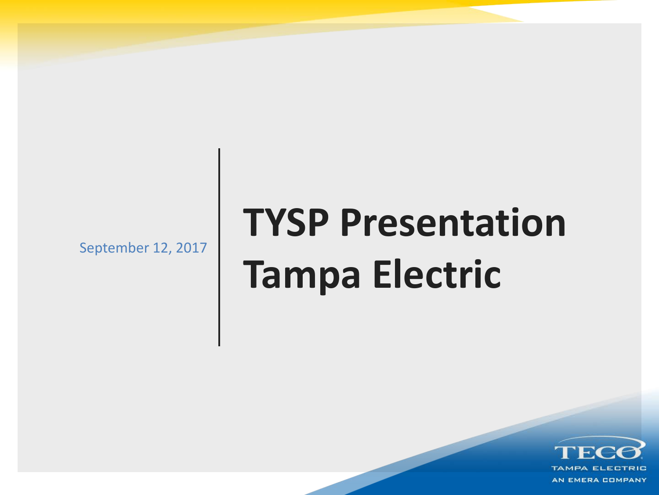September 12, 2017

## **TYSP Presentation Tampa Electric**

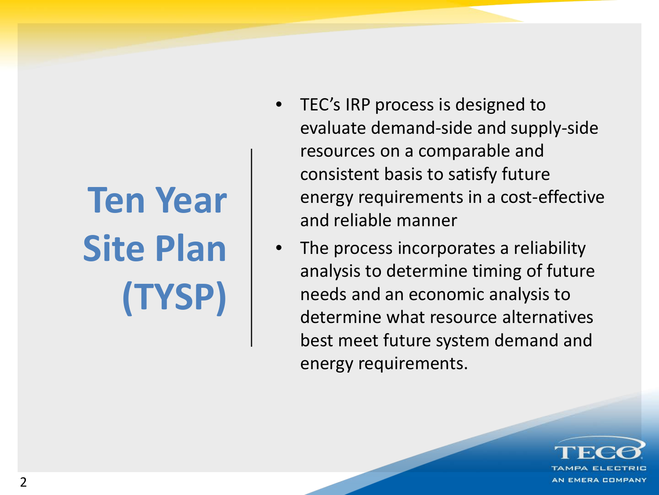# **Ten Year Site Plan (TYSP)**

- TEC's IRP process is designed to evaluate demand-side and supply-side resources on a comparable and consistent basis to satisfy future energy requirements in a cost-effective and reliable manner
- The process incorporates a reliability analysis to determine timing of future needs and an economic analysis to determine what resource alternatives best meet future system demand and energy requirements.

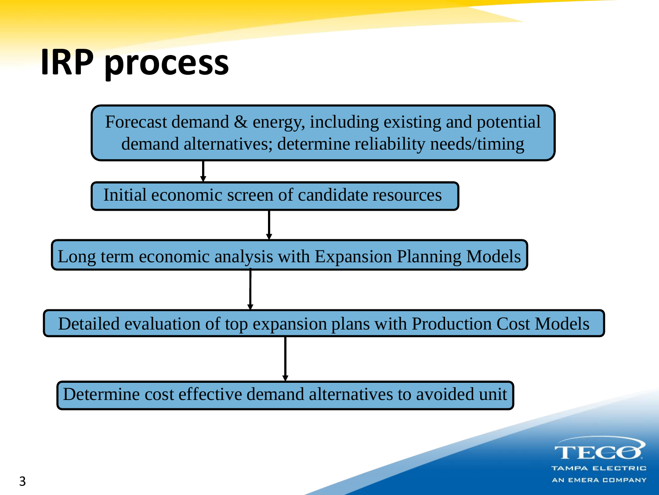## **IRP process**



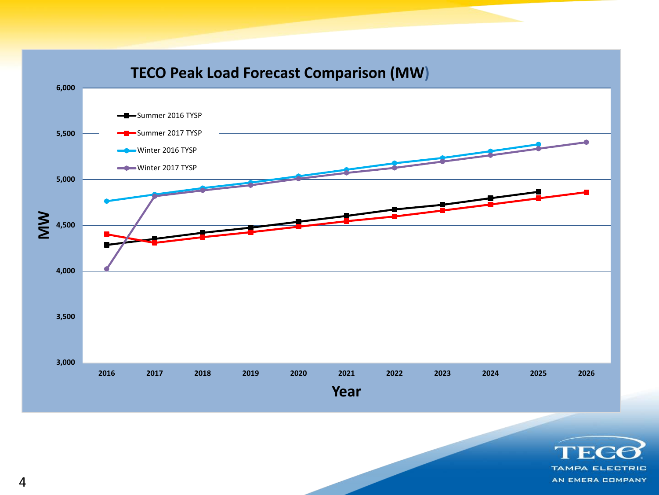

**TAMPA ELECTRIC** AN EMERA COMPANY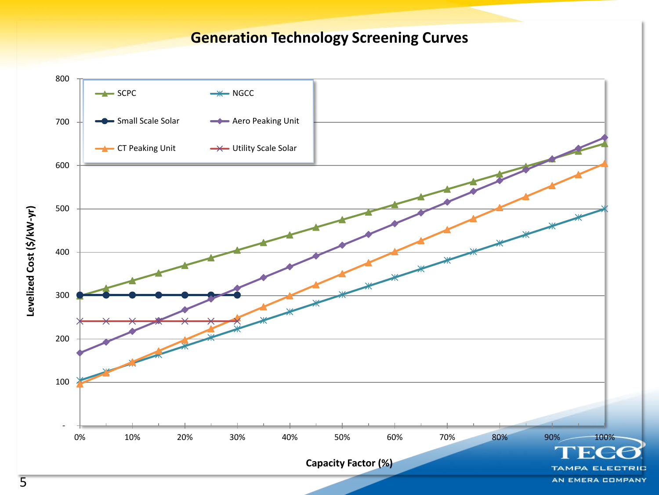**Generation Technology Screening Curves**

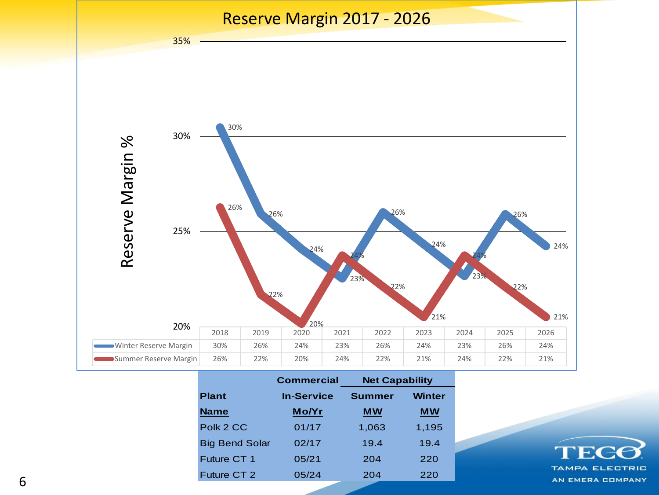

|                       | <b>Commercial</b> | <b>Net Capability</b> |               |
|-----------------------|-------------------|-----------------------|---------------|
| <b>Plant</b>          | <b>In-Service</b> | <b>Summer</b>         | <b>Winter</b> |
| <b>Name</b>           | Mo/Yr             | <b>MW</b>             | <b>MW</b>     |
| Polk 2 CC             | 01/17             | 1,063                 | 1,195         |
| <b>Big Bend Solar</b> | 02/17             | 19.4                  | 19.4          |
| Future CT 1           | 05/21             | 204                   | 220           |
| Future CT 2           | 05/24             | 204                   | 220           |

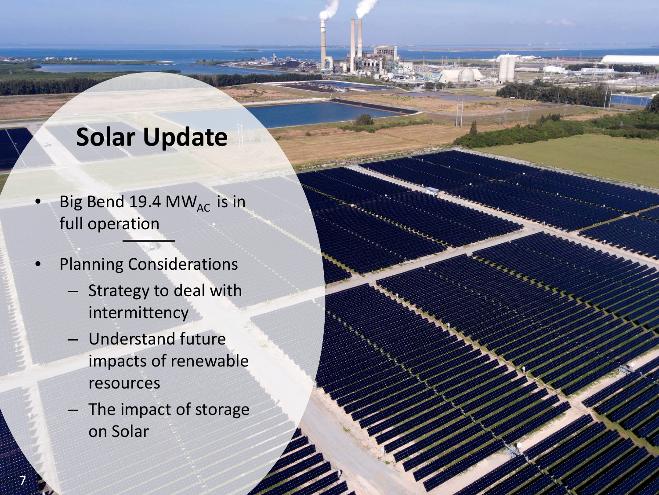#### **Solar Update**

- Big Bend 19.4 MW<sub>AC</sub> is in full operation
- Planning Considerations
	- Strategy to deal with intermittency
	- Understand future impacts of renewable resources
	- The impact of storage on Solar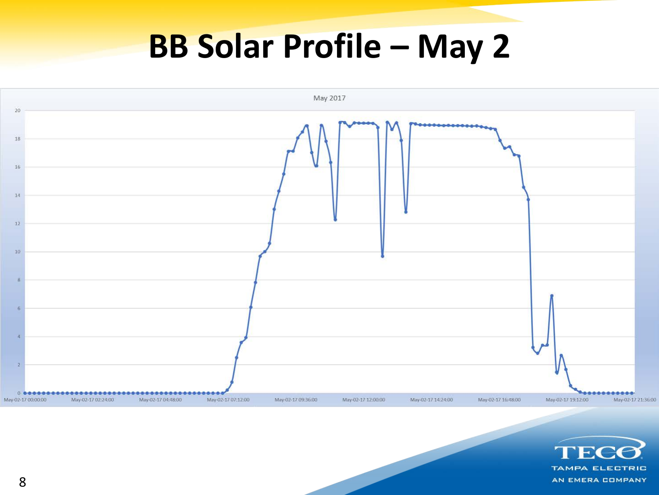### **BB Solar Profile – May 2**